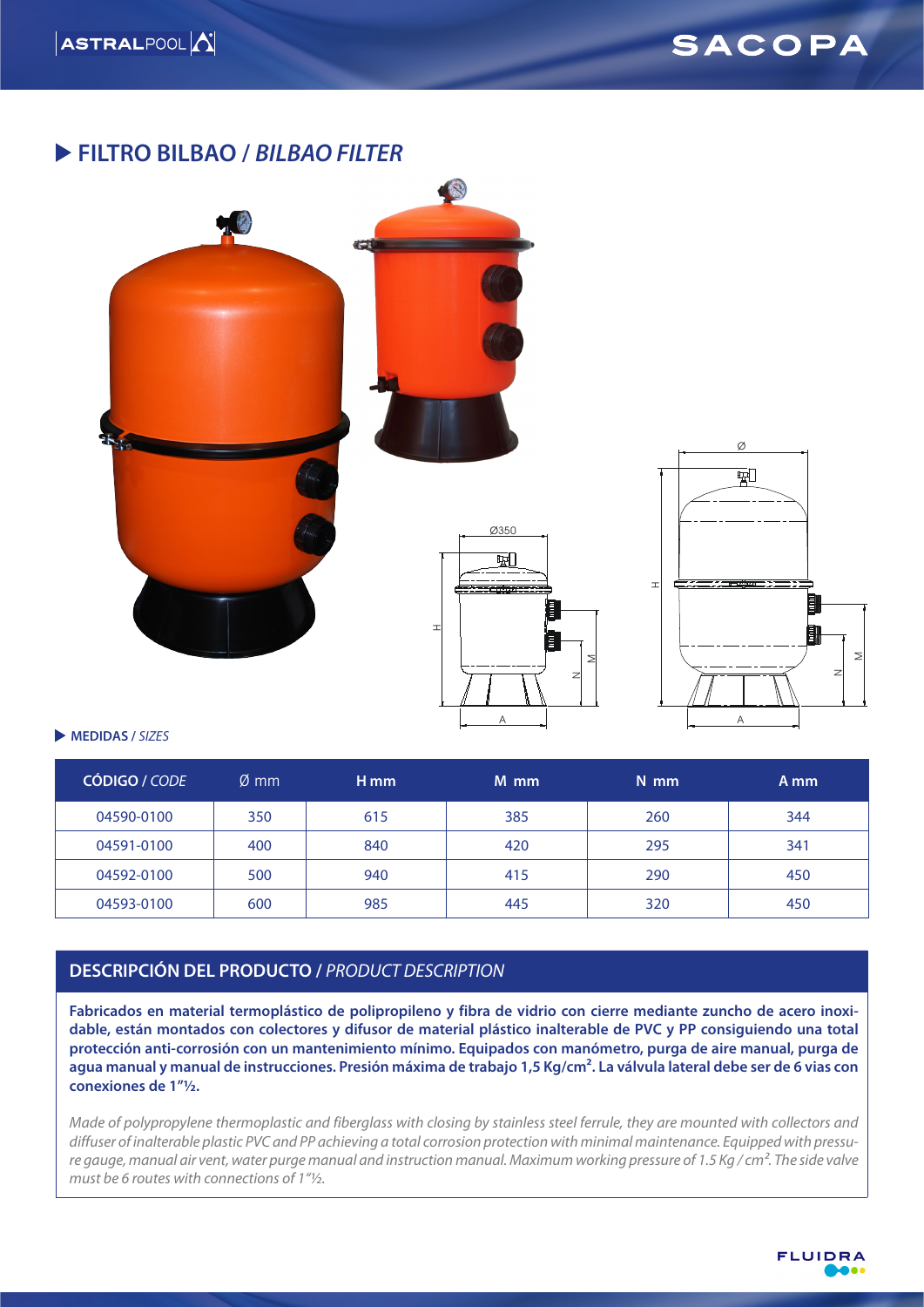### **FILTRO BILBAO /** *BILBAO FILTER*



#### **MEDIDAS /** *SIZES*

| CÓDIGO / CODE | $\emptyset$ mm | H <sub>mm</sub> | M mm | $N$ mm | A mm |
|---------------|----------------|-----------------|------|--------|------|
| 04590-0100    | 350            | 615             | 385  | 260    | 344  |
| 04591-0100    | 400            | 840             | 420  | 295    | 341  |
| 04592-0100    | 500            | 940             | 415  | 290    | 450  |
| 04593-0100    | 600            | 985             | 445  | 320    | 450  |

### **DESCRIPCIÓN DEL PRODUCTO /** *PRODUCT DESCRIPTION*

**Fabricados en material termoplástico de polipropileno y fibra de vidrio con cierre mediante zuncho de acero inoxidable, están montados con colectores y difusor de material plástico inalterable de PVC y PP consiguiendo una total protección anti-corrosión con un mantenimiento mínimo. Equipados con manómetro, purga de aire manual, purga de agua manual y manual de instrucciones. Presión máxima de trabajo 1,5 Kg/cm². La válvula lateral debe ser de 6 vias con conexiones de 1"½.**

*Made of polypropylene thermoplastic and fiberglass with closing by stainless steel ferrule, they are mounted with collectors and diffuser of inalterable plastic PVC and PP achieving a total corrosion protection with minimal maintenance. Equipped with pressure gauge, manual air vent, water purge manual and instruction manual. Maximum working pressure of 1.5 Kg / cm². The side valve must be 6 routes with connections of 1"½.*



NM